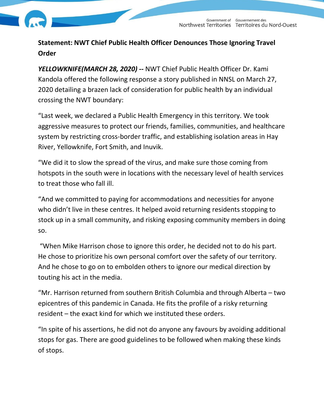

## **Statement: NWT Chief Public Health Officer Denounces Those Ignoring Travel Order**

*YELLOWKNIFE(MARCH 28, 2020) --* NWT Chief Public Health Officer Dr. Kami Kandola offered the following response a story published in NNSL on March 27, 2020 detailing a brazen lack of consideration for public health by an individual crossing the NWT boundary:

"Last week, we declared a Public Health Emergency in this territory. We took aggressive measures to protect our friends, families, communities, and healthcare system by restricting cross-border traffic, and establishing isolation areas in Hay River, Yellowknife, Fort Smith, and Inuvik.

"We did it to slow the spread of the virus, and make sure those coming from hotspots in the south were in locations with the necessary level of health services to treat those who fall ill.

"And we committed to paying for accommodations and necessities for anyone who didn't live in these centres. It helped avoid returning residents stopping to stock up in a small community, and risking exposing community members in doing so.

"When Mike Harrison chose to ignore this order, he decided not to do his part. He chose to prioritize his own personal comfort over the safety of our territory. And he chose to go on to embolden others to ignore our medical direction by touting his act in the media.

"Mr. Harrison returned from southern British Columbia and through Alberta – two epicentres of this pandemic in Canada. He fits the profile of a risky returning resident – the exact kind for which we instituted these orders.

"In spite of his assertions, he did not do anyone any favours by avoiding additional stops for gas. There are good guidelines to be followed when making these kinds of stops.